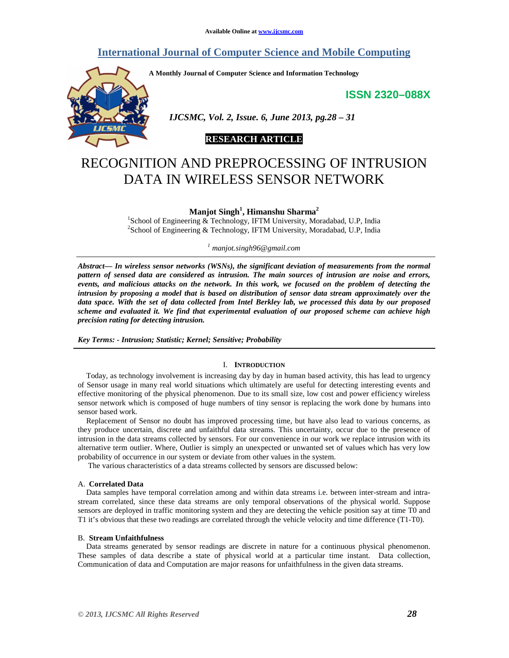# **International Journal of Computer Science and Mobile Computing**

**A Monthly Journal of Computer Science and Information Technology** 

**ISSN 2320–088X**



 *IJCSMC, Vol. 2, Issue. 6, June 2013, pg.28 – 31* 

# **RESEARCH ARTICLE**

# RECOGNITION AND PREPROCESSING OF INTRUSION DATA IN WIRELESS SENSOR NETWORK

**Manjot Singh<sup>1</sup> , Himanshu Sharma<sup>2</sup>**

<sup>1</sup>School of Engineering & Technology, IFTM University, Moradabad, U.P, India <sup>2</sup>School of Engineering & Technology, IFTM University, Moradabad, U.P, India

*1 manjot.singh96@gmail.com*

*Abstract— In wireless sensor networks (WSNs), the significant deviation of measurements from the normal pattern of sensed data are considered as intrusion. The main sources of intrusion are noise and errors, events, and malicious attacks on the network. In this work, we focused on the problem of detecting the intrusion by proposing a model that is based on distribution of sensor data stream approximately over the data space. With the set of data collected from Intel Berkley lab, we processed this data by our proposed scheme and evaluated it. We find that experimental evaluation of our proposed scheme can achieve high precision rating for detecting intrusion.* 

*Key Terms: - Intrusion; Statistic; Kernel; Sensitive; Probability* 

## I. **INTRODUCTION**

Today, as technology involvement is increasing day by day in human based activity, this has lead to urgency of Sensor usage in many real world situations which ultimately are useful for detecting interesting events and effective monitoring of the physical phenomenon. Due to its small size, low cost and power efficiency wireless sensor network which is composed of huge numbers of tiny sensor is replacing the work done by humans into sensor based work.

Replacement of Sensor no doubt has improved processing time, but have also lead to various concerns, as they produce uncertain, discrete and unfaithful data streams. This uncertainty, occur due to the presence of intrusion in the data streams collected by sensors. For our convenience in our work we replace intrusion with its alternative term outlier. Where, Outlier is simply an unexpected or unwanted set of values which has very low probability of occurrence in our system or deviate from other values in the system.

The various characteristics of a data streams collected by sensors are discussed below:

#### A. **Correlated Data**

Data samples have temporal correlation among and within data streams i.e. between inter-stream and intrastream correlated, since these data streams are only temporal observations of the physical world. Suppose sensors are deployed in traffic monitoring system and they are detecting the vehicle position say at time T0 and T1 it's obvious that these two readings are correlated through the vehicle velocity and time difference (T1-T0).

#### B. **Stream Unfaithfulness**

Data streams generated by sensor readings are discrete in nature for a continuous physical phenomenon. These samples of data describe a state of physical world at a particular time instant. Data collection, Communication of data and Computation are major reasons for unfaithfulness in the given data streams.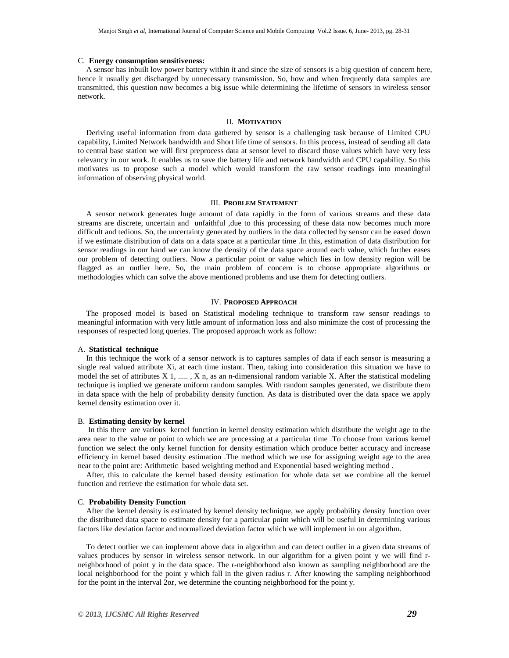#### C. **Energy consumption sensitiveness:**

A sensor has inbuilt low power battery within it and since the size of sensors is a big question of concern here, hence it usually get discharged by unnecessary transmission. So, how and when frequently data samples are transmitted, this question now becomes a big issue while determining the lifetime of sensors in wireless sensor network.

## II. **MOTIVATION**

Deriving useful information from data gathered by sensor is a challenging task because of Limited CPU capability, Limited Network bandwidth and Short life time of sensors. In this process, instead of sending all data to central base station we will first preprocess data at sensor level to discard those values which have very less relevancy in our work. It enables us to save the battery life and network bandwidth and CPU capability. So this motivates us to propose such a model which would transform the raw sensor readings into meaningful information of observing physical world.

#### III. **PROBLEM STATEMENT**

A sensor network generates huge amount of data rapidly in the form of various streams and these data streams are discrete, uncertain and unfaithful ,due to this processing of these data now becomes much more difficult and tedious. So, the uncertainty generated by outliers in the data collected by sensor can be eased down if we estimate distribution of data on a data space at a particular time .In this, estimation of data distribution for sensor readings in our hand we can know the density of the data space around each value, which further eases our problem of detecting outliers. Now a particular point or value which lies in low density region will be flagged as an outlier here. So, the main problem of concern is to choose appropriate algorithms or methodologies which can solve the above mentioned problems and use them for detecting outliers.

#### IV. **PROPOSED APPROACH**

The proposed model is based on Statistical modeling technique to transform raw sensor readings to meaningful information with very little amount of information loss and also minimize the cost of processing the responses of respected long queries. The proposed approach work as follow:

#### A. **Statistical technique**

In this technique the work of a sensor network is to captures samples of data if each sensor is measuring a single real valued attribute Xi, at each time instant. Then, taking into consideration this situation we have to model the set of attributes  $X$  1, .....,  $X$  n, as an n-dimensional random variable  $X$ . After the statistical modeling technique is implied we generate uniform random samples. With random samples generated, we distribute them in data space with the help of probability density function. As data is distributed over the data space we apply kernel density estimation over it.

#### B. **Estimating density by kernel**

 In this there are various kernel function in kernel density estimation which distribute the weight age to the area near to the value or point to which we are processing at a particular time .To choose from various kernel function we select the only kernel function for density estimation which produce better accuracy and increase efficiency in kernel based density estimation .The method which we use for assigning weight age to the area near to the point are: Arithmetic based weighting method and Exponential based weighting method .

After, this to calculate the kernel based density estimation for whole data set we combine all the kernel function and retrieve the estimation for whole data set.

#### C. **Probability Density Function**

After the kernel density is estimated by kernel density technique, we apply probability density function over the distributed data space to estimate density for a particular point which will be useful in determining various factors like deviation factor and normalized deviation factor which we will implement in our algorithm.

To detect outlier we can implement above data in algorithm and can detect outlier in a given data streams of values produces by sensor in wireless sensor network. In our algorithm for a given point y we will find rneighborhood of point y in the data space. The r-neighborhood also known as sampling neighborhood are the local neighborhood for the point y which fall in the given radius r. After knowing the sampling neighborhood for the point in the interval 2αr, we determine the counting neighborhood for the point y.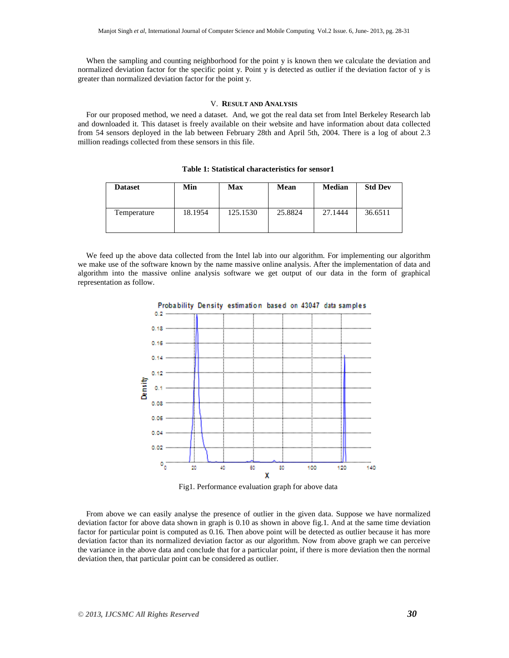When the sampling and counting neighborhood for the point y is known then we calculate the deviation and normalized deviation factor for the specific point y. Point y is detected as outlier if the deviation factor of y is greater than normalized deviation factor for the point y.

## V. **RESULT AND ANALYSIS**

For our proposed method, we need a dataset. And, we got the real data set from Intel Berkeley Research lab and downloaded it. This dataset is freely available on their website and have information about data collected from 54 sensors deployed in the lab between February 28th and April 5th, 2004. There is a log of about 2.3 million readings collected from these sensors in this file.

| <b>Dataset</b> | Min     | Max      | Mean    | <b>Median</b> | <b>Std Dev</b> |
|----------------|---------|----------|---------|---------------|----------------|
| Temperature    | 18.1954 | 125.1530 | 25.8824 | 27.1444       | 36.6511        |

We feed up the above data collected from the Intel lab into our algorithm. For implementing our algorithm we make use of the software known by the name massive online analysis. After the implementation of data and algorithm into the massive online analysis software we get output of our data in the form of graphical representation as follow.



Fig1. Performance evaluation graph for above data

From above we can easily analyse the presence of outlier in the given data. Suppose we have normalized deviation factor for above data shown in graph is 0.10 as shown in above fig.1. And at the same time deviation factor for particular point is computed as 0.16. Then above point will be detected as outlier because it has more deviation factor than its normalized deviation factor as our algorithm. Now from above graph we can perceive the variance in the above data and conclude that for a particular point, if there is more deviation then the normal deviation then, that particular point can be considered as outlier.